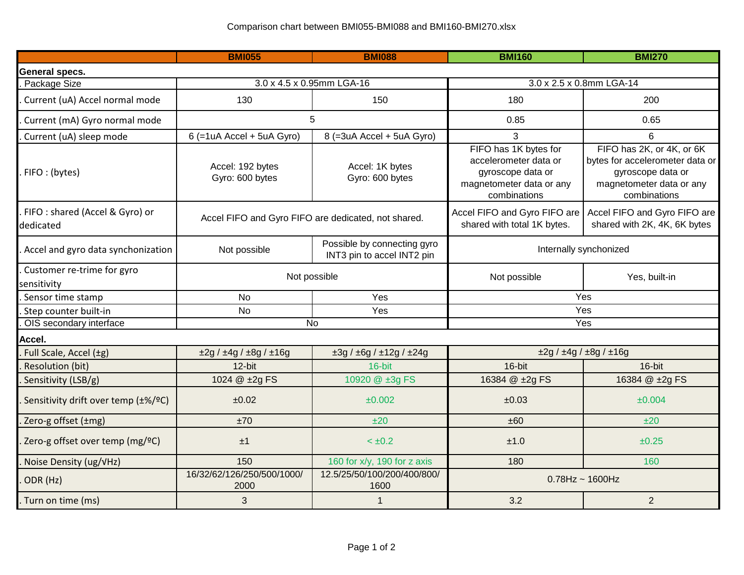|                                             | <b>BMI055</b>                                       | <b>BMI088</b>                                             | <b>BMI160</b>                                                                                                   | <b>BMI270</b>                                                                                                                 |  |
|---------------------------------------------|-----------------------------------------------------|-----------------------------------------------------------|-----------------------------------------------------------------------------------------------------------------|-------------------------------------------------------------------------------------------------------------------------------|--|
| General specs.                              |                                                     |                                                           |                                                                                                                 |                                                                                                                               |  |
| Package Size                                | 3.0 x 4.5 x 0.95mm LGA-16                           |                                                           | 3.0 x 2.5 x 0.8mm LGA-14                                                                                        |                                                                                                                               |  |
| Current (uA) Accel normal mode              | 130                                                 | 150                                                       | 180                                                                                                             | 200                                                                                                                           |  |
| Current (mA) Gyro normal mode               | 5                                                   |                                                           | 0.85                                                                                                            | 0.65                                                                                                                          |  |
| Current (uA) sleep mode                     | $6$ (=1uA Accel + 5uA Gyro)                         | 8 (=3uA Accel + 5uA Gyro)                                 | 3                                                                                                               | 6                                                                                                                             |  |
| . FIFO: (bytes)                             | Accel: 192 bytes<br>Gyro: 600 bytes                 | Accel: 1K bytes<br>Gyro: 600 bytes                        | FIFO has 1K bytes for<br>accelerometer data or<br>gyroscope data or<br>magnetometer data or any<br>combinations | FIFO has 2K, or 4K, or 6K<br>bytes for accelerometer data or<br>gyroscope data or<br>magnetometer data or any<br>combinations |  |
| FIFO: shared (Accel & Gyro) or<br>dedicated | Accel FIFO and Gyro FIFO are dedicated, not shared. |                                                           | Accel FIFO and Gyro FIFO are<br>shared with total 1K bytes.                                                     | Accel FIFO and Gyro FIFO are<br>shared with 2K, 4K, 6K bytes                                                                  |  |
| Accel and gyro data synchonization          | Not possible                                        | Possible by connecting gyro<br>INT3 pin to accel INT2 pin | Internally synchonized                                                                                          |                                                                                                                               |  |
| Customer re-trime for gyro<br>sensitivity   | Not possible                                        |                                                           | Not possible                                                                                                    | Yes, built-in                                                                                                                 |  |
| Sensor time stamp                           | <b>No</b>                                           | Yes                                                       | Yes                                                                                                             |                                                                                                                               |  |
| Step counter built-in                       | <b>No</b>                                           | Yes                                                       | Yes                                                                                                             |                                                                                                                               |  |
| OIS secondary interface                     |                                                     | <b>No</b>                                                 | Yes                                                                                                             |                                                                                                                               |  |
| Accel.                                      |                                                     |                                                           |                                                                                                                 |                                                                                                                               |  |
| Full Scale, Accel (±g)                      | $\pm 2g / \pm 4g / \pm 8g / \pm 16g$                | $\pm 3g / \pm 6g / \pm 12g / \pm 24g$                     | $\pm 2g / \pm 4g / \pm 8g / \pm 16g$                                                                            |                                                                                                                               |  |
| Resolution (bit)                            | $12-bit$                                            | 16-bit                                                    | 16-bit                                                                                                          | 16-bit                                                                                                                        |  |
| Sensitivity (LSB/g)                         | 1024 @ ±2g FS                                       | 10920 @ ±3g FS                                            | 16384 @ ±2g FS                                                                                                  | 16384 @ ±2g FS                                                                                                                |  |
| Sensitivity drift over temp (±%/ºC)         | ±0.02                                               | $\pm 0.002$                                               | ±0.03                                                                                                           | ±0.004                                                                                                                        |  |
| Zero-g offset (±mg)                         | ±70                                                 | ±20                                                       | ±60                                                                                                             | ±20                                                                                                                           |  |
| Zero-g offset over temp (mg/ºC)             | ±1                                                  | $< \pm 0.2$                                               | ±1.0                                                                                                            | ±0.25                                                                                                                         |  |
| Noise Density (ug/VHz)                      | 150                                                 | 160 for x/y, 190 for z axis                               | 180                                                                                                             | 160                                                                                                                           |  |
| ODR (Hz)                                    | 16/32/62/126/250/500/1000/<br>2000                  | 12.5/25/50/100/200/400/800/<br>1600                       | $0.78$ Hz ~ 1600Hz                                                                                              |                                                                                                                               |  |
| Turn on time (ms)                           | 3                                                   | $\mathbf{1}$                                              | 3.2                                                                                                             | $\overline{2}$                                                                                                                |  |